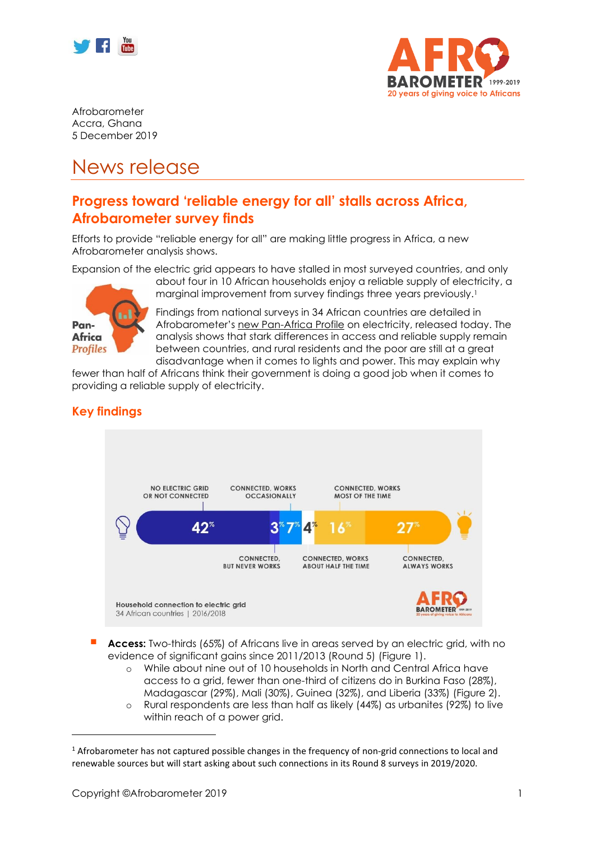



Afrobarometer Accra, Ghana 5 December 2019

# News release

# **Progress toward 'reliable energy for all' stalls across Africa, Afrobarometer survey finds**

Efforts to provide "reliable energy for all" are making little progress in Africa, a new Afrobarometer analysis shows.

Expansion of the electric grid appears to have stalled in most surveyed countries, and only



about four in 10 African households enjoy a reliable supply of electricity, a marginal improvement from survey findings three years previously. 1

Findings from national surveys in 34 African countries are detailed in Afrobarometer's [new Pan-Africa Profile](http://www.afrobarometer.org/) on electricity, released today. The analysis shows that stark differences in access and reliable supply remain between countries, and rural residents and the poor are still at a great disadvantage when it comes to lights and power. This may explain why

fewer than half of Africans think their government is doing a good job when it comes to providing a reliable supply of electricity.

# **Key findings**



**Access:** Two-thirds (65%) of Africans live in areas served by an electric grid, with no evidence of significant gains since 2011/2013 (Round 5) (Figure 1).

- o While about nine out of 10 households in North and Central Africa have access to a grid, fewer than one-third of citizens do in Burkina Faso (28%), Madagascar (29%), Mali (30%), Guinea (32%), and Liberia (33%) (Figure 2).
- o Rural respondents are less than half as likely (44%) as urbanites (92%) to live within reach of a power arid.

<sup>1</sup> Afrobarometer has not captured possible changes in the frequency of non-grid connections to local and renewable sources but will start asking about such connections in its Round 8 surveys in 2019/2020.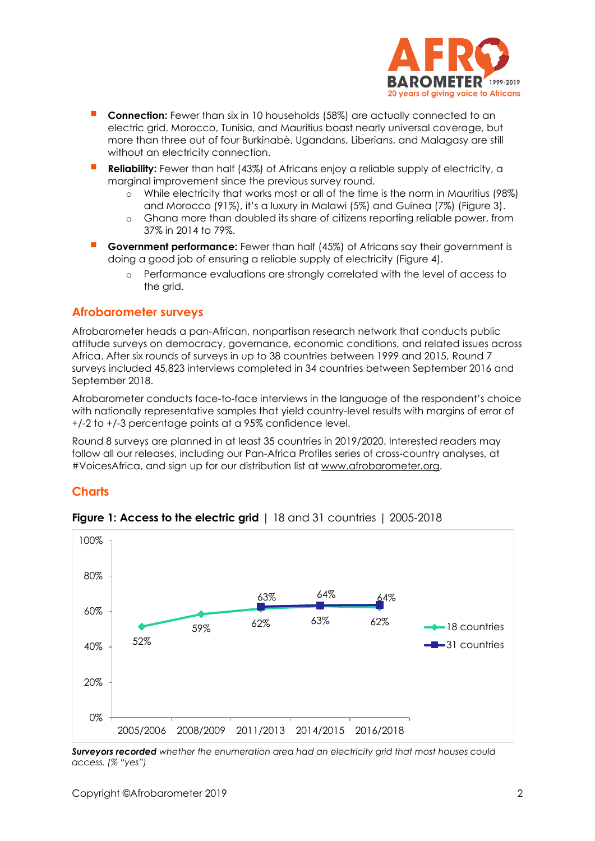

- **Connection:** Fewer than six in 10 households (58%) are actually connected to an electric grid. Morocco, Tunisia, and Mauritius boast nearly universal coverage, but more than three out of four Burkinabè, Ugandans, Liberians, and Malagasy are still without an electricity connection.
- Reliability: Fewer than half (43%) of Africans enjoy a reliable supply of electricity, a marginal improvement since the previous survey round.
	- o While electricity that works most or all of the time is the norm in Mauritius (98%) and Morocco (91%), it's a luxury in Malawi (5%) and Guinea (7%) (Figure 3).
	- o Ghana more than doubled its share of citizens reporting reliable power, from 37% in 2014 to 79%.
- **Government performance:** Fewer than half (45%) of Africans say their government is doing a good job of ensuring a reliable supply of electricity (Figure 4).
	- o Performance evaluations are strongly correlated with the level of access to the grid.

#### **Afrobarometer surveys**

Afrobarometer heads a pan-African, nonpartisan research network that conducts public attitude surveys on democracy, governance, economic conditions, and related issues across Africa. After six rounds of surveys in up to 38 countries between 1999 and 2015, Round 7 surveys included 45,823 interviews completed in 34 countries between September 2016 and September 2018.

Afrobarometer conducts face-to-face interviews in the language of the respondent's choice with nationally representative samples that yield country-level results with margins of error of +/-2 to +/-3 percentage points at a 95% confidence level.

Round 8 surveys are planned in at least 35 countries in 2019/2020. Interested readers may follow all our releases, including our Pan-Africa Profiles series of cross-country analyses, at #VoicesAfrica, and sign up for our distribution list at [www.afrobarometer.org.](http://www.afrobarometer.org/)

#### **Charts**



**Figure 1: Access to the electric grid** | 18 and 31 countries | 2005-2018

*Surveyors recorded whether the enumeration area had an electricity grid that most houses could access. (% "yes")*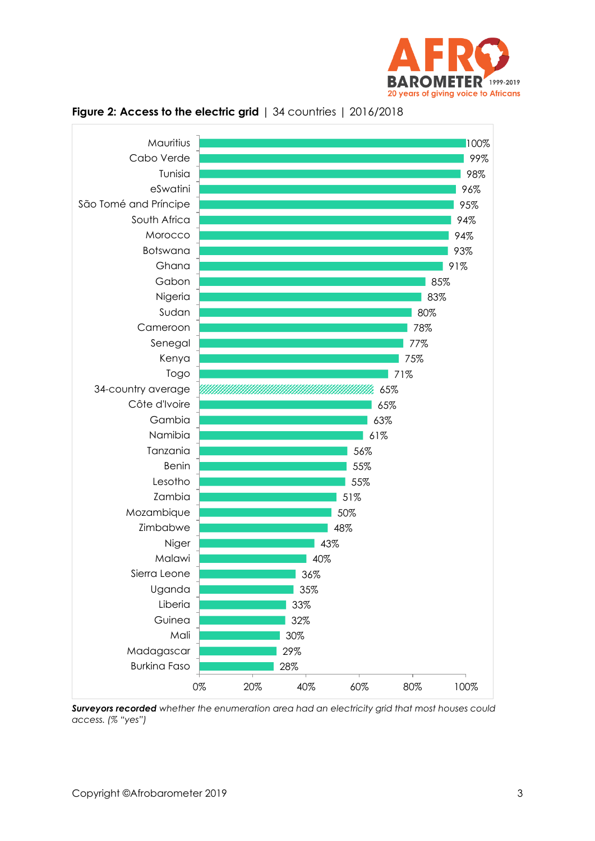





*Surveyors recorded whether the enumeration area had an electricity grid that most houses could access. (% "yes")*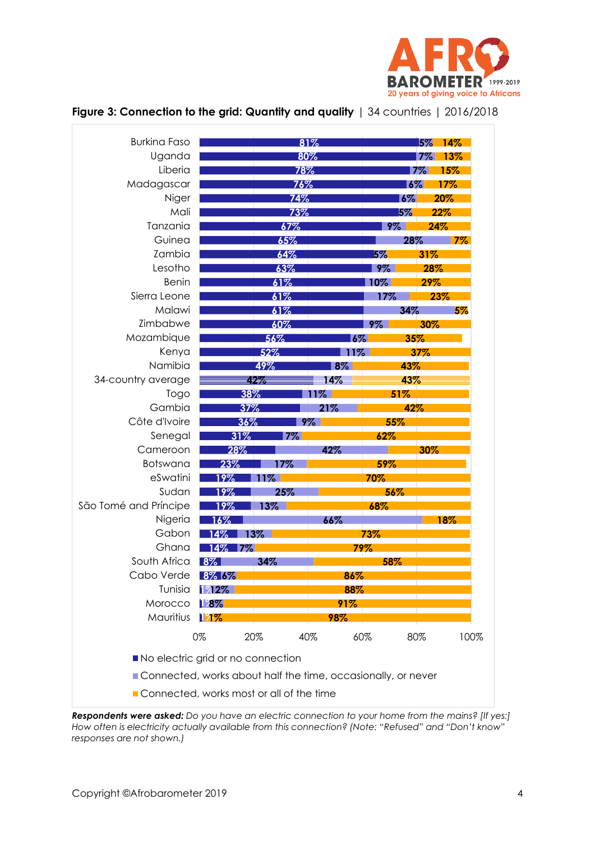

| <b>Burkina Faso</b>               |                                                              |            | 81%       |         |         | 5% 14% |
|-----------------------------------|--------------------------------------------------------------|------------|-----------|---------|---------|--------|
| Uganda                            |                                                              |            | 80%       |         | $7\%$   | 13%    |
| Liberia                           |                                                              | 78%        |           |         | 7%      | 15%    |
| Madagascar                        | 76%                                                          |            |           |         | $ 6\% $ | 17%    |
| Niger                             | 74%                                                          |            |           | $ 6\% $ | 20%     |        |
| Mali                              | 73%                                                          |            | 5%<br>22% |         |         |        |
| Tanzania                          |                                                              | 67%        |           | $9\%$   |         | 24%    |
| Guinea                            |                                                              | 65%        |           |         | 28%     | 17%    |
| Zambia                            |                                                              | 64%        |           | 5%      | 31%     |        |
| Lesotho                           |                                                              | 63%        |           | $9\%$   |         | 28%    |
| <b>Benin</b>                      |                                                              | 61%        |           | 10%     | 29%     |        |
| Sierra Leone                      |                                                              | 61%        |           | 17%     |         | 23%    |
| Malawi                            |                                                              | 61%        |           |         | 34%     | 5%     |
| Zimbabwe                          |                                                              | 60%        |           | 9%      | 30%     |        |
| Mozambique                        |                                                              | 56%        |           | $6\%$   | 35%     |        |
| Kenya                             |                                                              | 52%        | 11%       |         | 37%     |        |
| Namibia                           |                                                              | 49%        | $8\%$     |         | 43%     |        |
| 34-country average                |                                                              | 42%        | 14%       |         | 43%     |        |
|                                   |                                                              |            |           |         |         |        |
| Togo<br>Gambia                    |                                                              | 38%<br>37% | 11%       |         | 51%     |        |
| Côte d'Ivoire                     |                                                              |            | 21%       |         | 42%     |        |
|                                   |                                                              | 36%        | $9\%$     | 55%     |         |        |
| Senegal                           | 31%                                                          | $7\%$      |           | 62%     |         |        |
| Cameroon                          | 28%                                                          |            | 42%       |         | 30%     |        |
| Botswana<br>eSwatini              | 23%                                                          | 17%        |           | 59%     |         |        |
| Sudan                             | 19%                                                          | $11\%$     |           | 70%     |         |        |
|                                   | 19%                                                          | 25%        |           | 56%     |         |        |
| São Tomé and Príncipe             | 19%                                                          | 13%        |           | 68%     |         |        |
| Nigeria                           | $16\%$                                                       |            | 66%       |         |         | 18%    |
| Gabon                             | 14%                                                          | $13\%$     |           | 73%     |         |        |
| Ghana                             | 14% 7%                                                       |            |           | 79%     |         |        |
| South Africa                      | $8\%$                                                        | 34%        |           | 58%     |         |        |
| Cabo Verde                        | 8% 6%                                                        |            | 86%       |         |         |        |
| Tunisia                           | 1712%                                                        |            | 88%       |         |         |        |
| Morocco                           | $1.8\%$                                                      |            | 91%       |         |         |        |
| Mauritius                         | 17%                                                          |            | 98%       |         |         |        |
|                                   | 0%                                                           | 20%        | 40%       | 60%     | 80%     | 100%   |
| No electric grid or no connection |                                                              |            |           |         |         |        |
|                                   | Connected, works about half the time, occasionally, or never |            |           |         |         |        |
|                                   |                                                              |            |           |         |         |        |

### **Figure 3: Connection to the grid: Quantity and quality** | 34 countries | 2016/2018

*Respondents were asked: Do you have an electric connection to your home from the mains? [If yes:] How often is electricity actually available from this connection? (Note: "Refused" and "Don't know" responses are not shown.)*